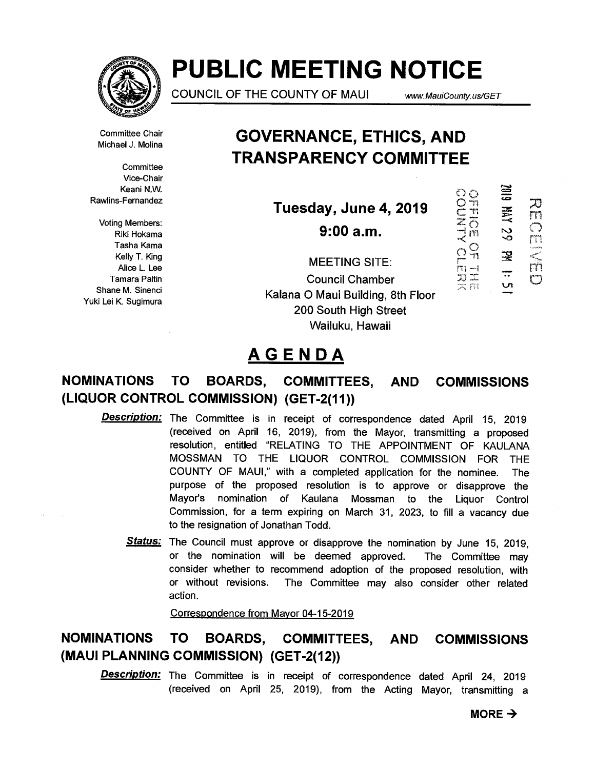

# **PUBLIC MEETING NOTICE**

COUNCIL OF THE COUNTY OF MAUI www.MauiCounty.us/GET

 $\circ$ 

OUNTY

Committee Chair Michael J. Molina

**Committee** Vice-Chair Keani N.W. Rawlins-Fernandez

Voting Members: Riki Hokama Tasha Kama Kelly T. King Alice L. Lee Tamara Paltin Shane M. Sinenci Yuki Lei K. Sugimura

## **GOVERNANCE, ETHICS, AND TRANSPARENCY COMMITTEE**

**Tuesday, June 4,2019** 

**9:00 a.m.** 

 $\frac{1}{11}$ 62 AW  $\overline{\circ}$  $\mathbf{m}$  $\Omega_{\rm T}^{\rm O}$ ⊇ カコ<br>フェ<br>スポ U

 $\Xi$ 

刀

m

Chi (Th

Ŵ

MEETING SITE: Council Chamber Kalana 0 Maui Building, 8th Floor 200 South High Street Wailuku, Hawaii

## **AGENDA**

## **NOMINATIONS TO BOARDS, COMMITTEES, AND COMMISSIONS (LIQUOR CONTROL COMMISSION) (GET-2(11))**

- **Description:** The Committee is in receipt of correspondence dated April 15, 2019 (received on April 16, 2019), from the Mayor, transmitting a proposed resolution, entitled "RELATING TO THE APPOINTMENT OF KAULANA MOSSMAN TO THE LIQUOR CONTROL COMMISSION FOR THE COUNTY OF MAUI," with a completed application for the nominee. The purpose of the proposed resolution is to approve or disapprove the Mayor's nomination of Kaulana Mossman to the Liquor Control Commission, for a term expiring on March 31, 2023, to fill a vacancy due to the resignation of Jonathan Todd.
	- **Status:** The Council must approve or disapprove the nomination by June 15, 2019, or the nomination will be deemed approved. The Committee may consider whether to recommend adoption of the proposed resolution, with or without revisions. The Committee may also consider other related action.

Correspondence from Mayor 04-15-2019

## **NOMINATIONS TO BOARDS, COMMITTEES, AND COMMISSIONS (MAUI PLANNING COMMISSION) (GET-2(12))**

**Description:** The Committee is in receipt of correspondence dated April 24, 2019 (received on April 25, 2019), from the Acting Mayor, transmitting a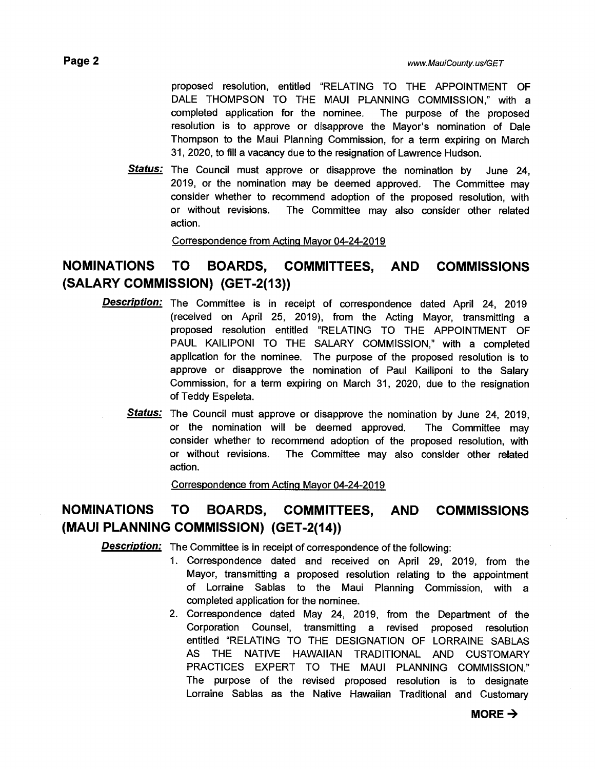proposed resolution, entitled "RELATING TO THE APPOINTMENT OF DALE THOMPSON TO THE MAUI PLANNING COMMISSION," with a completed application for the nominee. The purpose of the proposed resolution is to approve or disapprove the Mayor's nomination of Dale Thompson to the Maui Planning Commission, for a term expiring on March 31, 2020, to fill a vacancy due to the resignation of Lawrence Hudson.

**Status:** The Council must approve or disapprove the nomination by June 24, 2019, or the nomination may be deemed approved. The Committee may consider whether to recommend adoption of the proposed resolution, with or without revisions. The Committee may also consider other related action.

Correspondence from Acting Mayor 04-24-2019

### **NOMINATIONS TO BOARDS, COMMITTEES, AND COMMISSIONS (SALARY COMMISSION) (GET-2(13))**

- **Description:** The Committee is in receipt of correspondence dated April 24, 2019 (received on April 25, 2019), from the Acting Mayor, transmitting a proposed resolution entitled "RELATING TO THE APPOINTMENT OF PAUL KAILIPONI TO THE SALARY COMMISSION," with a completed application for the nominee. The purpose of the proposed resolution is to approve or disapprove the nomination of Paul Kailiponi to the Salary Commission, for a term expiring on March 31, 2020, due to the resignation of Teddy Espeleta.
	- **Status:** The Council must approve or disapprove the nomination by June 24, 2019, or the nomination will be deemed approved. The Committee may consider whether to recommend adoption of the proposed resolution, with or without revisions. The Committee may also consider other related action.

Correspondence from Acting Mayor 04-24-2019

### **NOMINATIONS TO BOARDS, COMMITTEES, AND COMMISSIONS (MAUI PLANNING COMMISSION) (GET-2(14))**

**Description:** The Committee is in receipt of correspondence of the following:

- 1. Correspondence dated and received on April 29, 2019, from the Mayor, transmitting a proposed resolution relating to the appointment of Lorraine Sablas to the Maui Planning Commission, with a completed application for the nominee.
- 2. Correspondence dated May 24, 2019, from the Department of the Corporation Counsel, transmitting a revised proposed resolution entitled "RELATING TO THE DESIGNATION OF LORRAINE SABLAS AS THE NATIVE HAWAIIAN TRADITIONAL AND CUSTOMARY PRACTICES EXPERT TO THE MAUI PLANNING COMMISSION." The purpose of the revised proposed resolution is to designate Lorraine Sablas as the Native Hawaiian Traditional and Customary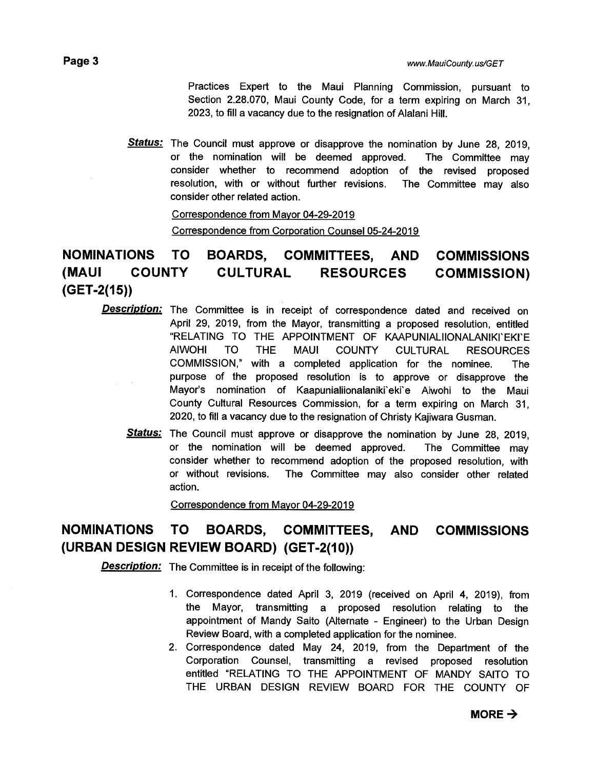Practices Expert to the Maui Planning Commission, pursuant to Section 2.28.070, Maui County Code, for a term expiring on March 31, 2023, to fill a vacancy due to the resignation of Alalani Hill.

**Status:** The Council must approve or disapprove the nomination by June 28, 2019, or the nomination will be deemed approved. The Committee may consider whether to recommend adoption of the revised proposed resolution, with or without further revisions. The Committee may also consider other related action.

> Correspondence from Mayor 04-29-2019 Correspondence from Corporation Counsel 05-24-2019

## **NOMINATIONS TO BOARDS, COMMITTEES, AND COMMISSIONS (MAUI COUNTY CULTURAL RESOURCES COMMISSION) (GET-2(15))**

- **Description:** The Committee is in receipt of correspondence dated and received on April 29, 2019, from the Mayor, transmitting a proposed resolution, entitled "RELATING TO THE APPOINTMENT OF KAAPUNIALIIONALANIKI'EKI'E AIWOHI TO THE MAUI COUNTY CULTURAL RESOURCES COMMISSION," with a completed application for the nominee. The purpose of the proposed resolution is to approve or disapprove the Mayor's nomination of Kaapunialiionalaniki'eki'e Aiwohi to the Maui County Cultural Resources Commission, for a term expiring on March 31, 2020, to fill a vacancy due to the resignation of Christy Kajiwara Gusman.
	- **Status:** The Council must approve or disapprove the nomination by June 28, 2019, or the nomination will be deemed approved. The Committee may consider whether to recommend adoption of the proposed resolution, with or without revisions. The Committee may also consider other related action.

Correspondence from Mayor 04-29-2019

## **NOMINATIONS TO BOARDS, COMMITTEES, AND COMMISSIONS (URBAN DESIGN REVIEW BOARD) (GET-2(10))**

**Description:** The Committee is in receipt of the following:

- 1. Correspondence dated April 3, 2019 (received on April 4, 2019), from the Mayor, transmitting a proposed resolution relating to the appointment of Mandy Saito (Alternate - Engineer) to the Urban Design Review Board, with a completed application for the nominee.
- 2. Correspondence dated May 24, 2019, from the Department of the Corporation Counsel, transmitting a revised proposed resolution entitled "RELATING TO THE APPOINTMENT OF MANDY SAITO TO THE URBAN DESIGN REVIEW BOARD FOR THE COUNTY OF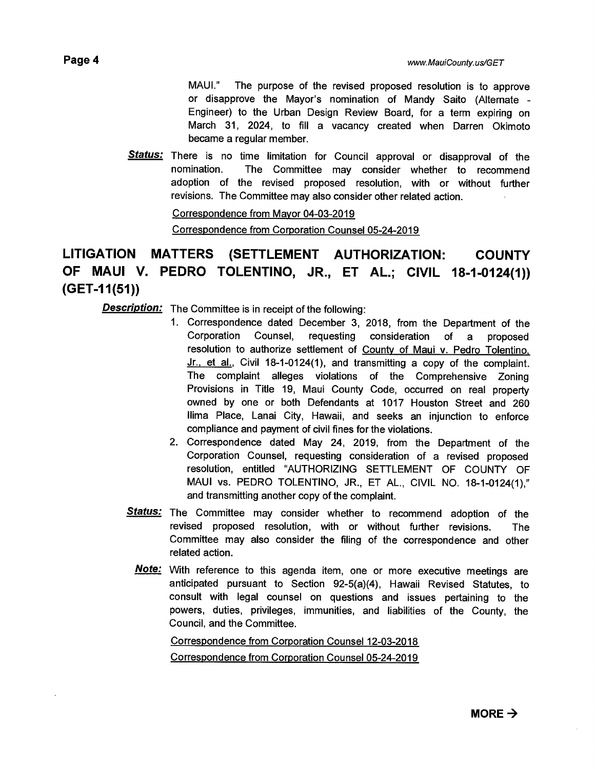MAUI." The purpose of the revised proposed resolution is to approve or disapprove the Mayor's nomination of Mandy Saito (Alternate - Engineer) to the Urban Design Review Board, for a term expiring on March 31, 2024, to fill a vacancy created when Darren Okimoto became a regular member.

**Status:** There is no time limitation for Council approval or disapproval of the nomination. The Committee may consider whether to recommend adoption of the revised proposed resolution, with or without further revisions. The Committee may also consider other related action.

#### Correspondence from Mayor 04-03-2019 Correspondence from Corporation Counsel 05-24-2019

## **LITIGATION MATTERS (SETTLEMENT AUTHORIZATION: COUNTY OF MAUI V. PEDRO TOLENTINO, JR., ET AL.; CIVIL 18-1-0124(1)) (GET-11(51))**

**Description:** The Committee is in receipt of the following:

- 1. Correspondence dated December 3, 2018, from the Department of the Corporation Counsel, requesting consideration of a proposed resolution to authorize settlement of County of Maui v. Pedro Tolentino, Jr., et al., Civil 18-1-0124(1), and transmitting a copy of the complaint. The complaint alleges violations of the Comprehensive Zoning Provisions in Title 19, Maui County Code, occurred on real property owned by one or both Defendants at 1017 Houston Street and 260 Ilima Place, Lanai City, Hawaii, and seeks an injunction to enforce compliance and payment of civil fines for the violations.
- 2. Correspondence dated May 24, 2019, from the Department of the Corporation Counsel, requesting consideration of a revised proposed resolution, entitled "AUTHORIZING SETTLEMENT OF COUNTY OF MAUI vs. PEDRO TOLENTINO, JR., ET AL., CIVIL NO. 18-1-0124(1)," and transmitting another copy of the complaint.
- **Status:** The Committee may consider whether to recommend adoption of the revised proposed resolution, with or without further revisions. The Committee may also consider the filing of the correspondence and other related action.
	- **Note:** With reference to this agenda item, one or more executive meetings are anticipated pursuant to Section 92-5(a)(4), Hawaii Revised Statutes, to consult with legal counsel on questions and issues pertaining to the powers, duties, privileges, immunities, and liabilities of the County, the Council, and the Committee.

Correspondence from Corporation Counsel 12-03-2018 Correspondence from Corporation Counsel 05-24-2019